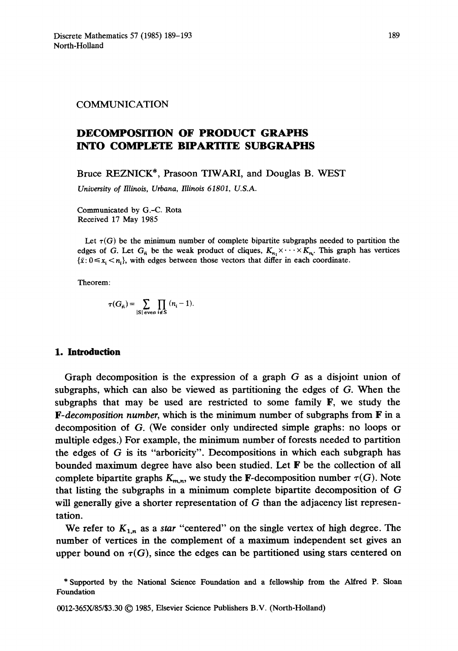### COMMUNICATION

# **DECOMPOSITION OF PRODUCT GRAPHS INTO COMPLETE BIPARTITE SUBGRAPHS**

Bruce REZNICK\*, Prasoon TIWARI, and Douglas B. WEST

*University of Illinois, Urbana, Illinois 61801, U.S.A.* 

Communicated by G.-C. Rota Received 17 May 1985

Let  $\tau(G)$  be the minimum number of complete bipartite subgraphs needed to partition the edges of G. Let  $G_{\bar{n}}$  be the weak product of cliques,  $K_{n} \times \cdots \times K_{n}$ . This graph has vertices  $\{\bar{x}: 0 \leq x_i \leq n_i\}$ , with edges between those vectors that differ in each coordinate.

Theorem:

$$
\tau(G_{\bar{n}}) = \sum_{|S| \text{ even}} \prod_{i \notin S} (n_i - 1).
$$

# **1. Introduction**

Graph decomposition is the expression of a graph G as a disjoint union of subgraphs, which can also be viewed as partitioning the edges of G. When the subgraphs that may be used are restricted to some family  $\mathbf{F}$ , we study the *F-decomposition number,* which is the minimum number of subgraphs from F in a decomposition of G. (We consider only undirected simple graphs: no loops or multiple edges.) For example, the minimum number of forests needed to partition the edges of G is its "arboricity". Decompositions in which each subgraph has bounded maximum degree have also been studied. Let F be the collection of all complete bipartite graphs  $K_{m,n}$ , we study the **F**-decomposition number  $\tau(G)$ . Note that listing the subgraphs in a minimum complete bipartite decomposition of G will generally give a shorter representation of G than the adjacency list representation.

We refer to  $K_{1,n}$  as a *star* "centered" on the single vertex of high degree. The number of vertices in the complement of a maximum independent set gives an upper bound on  $\tau(G)$ , since the edges can be partitioned using stars centered on

<sup>\*</sup> Supported by the National Science Foundation and a fellowship from the Alfred P. Sloan Foundation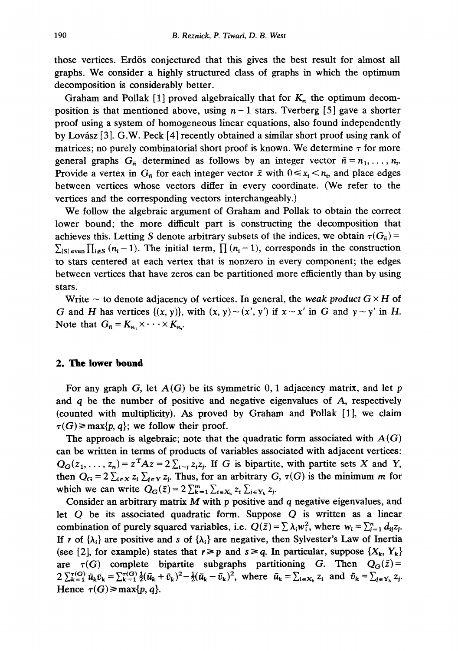those vertices. Erdös conjectured that this gives the best result for almost all graphs. We consider a highly structured class of graphs in which the optimum decomposition is considerably better.

Graham and Pollak [1] proved algebraically that for  $K_n$  the optimum decomposition is that mentioned above, using  $n-1$  stars. Tverberg [5] gave a shorter proof using a system of homogeneous linear equations, also found independently by Lovász [3]. G.W. Peck [4] recently obtained a similar short proof using rank of matrices; no purely combinatorial short proof is known. We determine  $\tau$  for more general graphs  $G_{\bar{n}}$  determined as follows by an integer vector  $\bar{n} = n_1, \ldots, n_t$ . Provide a vertex in  $G_{\bar{n}}$  for each integer vector  $\bar{x}$  with  $0 \le x_i \le n_i$ , and place edges between vertices whose vectors differ in every coordinate. (We refer to the vertices and the corresponding vectors interchangeably.)

We follow the algebraic argument of Graham and Pollak to obtain the correct lower bound; the more difficult part is constructing the decomposition that achieves this. Letting S denote arbitrary subsets of the indices, we obtain  $\tau(G_{\bar{n}})$  =  $\sum_{|\mathcal{S}| \text{ even}} \prod_{i \notin \mathcal{S}} (n_i-1)$ . The initial term,  $\prod_{i=1}^n (n_i-1)$ , corresponds in the construction to stars centered at each vertex that is nonzero in every component; the edges between vertices that have zeros can be partitioned more efficiently than by using stars.

Write  $\sim$  to denote adjacency of vertices. In general, the *weak product*  $G \times H$  of G and H has vertices  $\{(x, y)\}$ , with  $(x, y) \sim (x', y')$  if  $x \sim x'$  in G and  $y \sim y'$  in H. Note that  $G_{\bar{n}} = K_{n_1} \times \cdots \times K_{n_r}$ .

# **2. The lower bound**

For any graph  $G$ , let  $A(G)$  be its symmetric  $0, 1$  adjacency matrix, and let p and q be the number of positive and negative eigenvalues of A, respectively (counted with multiplicity). As proved by Graham and Pollak [1], we claim  $\tau(G) \ge \max\{p, q\}$ ; we follow their proof.

The approach is algebraic; note that the quadratic form associated with  $A(G)$ can be written in terms of products of variables associated with adjacent vertices:  $Q_G(z_1,..., z_n) = z^T A z = 2 \sum_{i \sim i} z_i z_i$ . If G is bipartite, with partite sets X and Y, then  $Q_G = 2 \sum_{i \in X} z_i \sum_{j \in Y} z_j$ . Thus, for an arbitrary G,  $\tau(G)$  is the minimum m for which we can write  $Q_G(\bar{z}) = 2 \sum_{k=1}^m \sum_{i \in X_k} z_i \sum_{j \in Y_k} z_j$ .

Consider an arbitrary matrix  $M$  with  $p$  positive and  $q$  negative eigenvalues, and let Q be its associated quadratic form. Suppose Q is written as a linear combination of purely squared variables, i.e.  $Q(\bar{z}) = \sum \lambda_i w_i^2$ , where  $w_i = \sum_{i=1}^n d_{ij}z_i$ . If r of  $\{\lambda_i\}$  are positive and s of  $\{\lambda_i\}$  are negative, then Sylvester's Law of Inertia (see [2], for example) states that  $r \geq p$  and  $s \geq q$ . In particular, suppose  $\{X_k, Y_k\}$ are  $\tau(G)$  complete bipartite subgraphs partitioning G. Then  $Q_G(\bar{z})=$  $2 \sum_{k=1}^{\tau(G)} \bar{u}_k \bar{v}_k = \sum_{k=1}^{\tau(G)} \frac{1}{2} (\bar{u}_k + \bar{v}_k)^2 - \frac{1}{2} (\bar{u}_k - \bar{v}_k)^2$ , where  $\bar{u}_k = \sum_{i \in X_k} z_i$  and  $\bar{v}_k = \sum_{j \in Y_k} z_j$ . Hence  $\tau(G) \ge \max\{p, q\}.$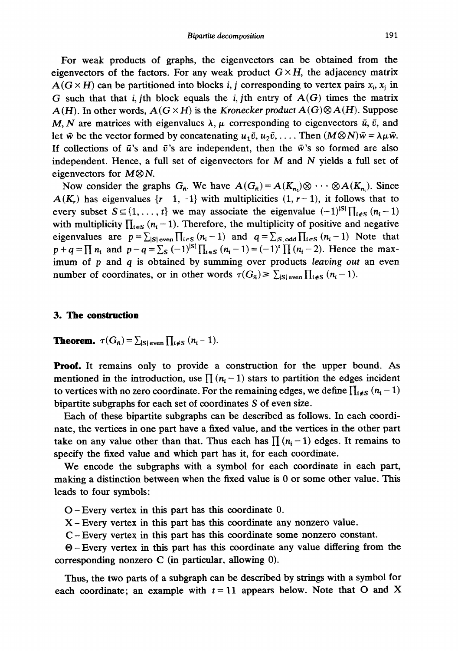For weak products of graphs, the eigenvectors can be obtained from the eigenvectors of the factors. For any weak product  $G \times H$ , the adjacency matrix  $A(G \times H)$  can be partitioned into blocks i, j corresponding to vertex pairs  $x_i$ ,  $x_i$  in G such that that i, jth block equals the i, jth entry of  $A(G)$  times the matrix  $A(H)$ . In other words,  $A(G \times H)$  is the *Kronecker product*  $A(G) \otimes A(H)$ . Suppose M, N are matrices with eigenvalues  $\lambda$ ,  $\mu$  corresponding to eigenvectors  $\bar{u}$ ,  $\bar{v}$ , and let  $\bar{w}$  be the vector formed by concatenating  $u_1\bar{v}$ ,  $u_2\bar{v}$ , .... Then  $(M\otimes N)\bar{w} = \lambda \mu \bar{w}$ . If collections of  $\bar{u}$ 's and  $\bar{v}$ 's are independent, then the  $\bar{w}$ 's so formed are also independent. Hence, a full set of eigenvectors for  $M$  and  $N$  yields a full set of eigenvectors for  $M\otimes N$ .

Now consider the graphs  $G_{\bar{n}}$ . We have  $A(G_{\bar{n}})=A(K_{n_1})\otimes \cdots \otimes A(K_{n_r})$ . Since  $A(K_r)$  has eigenvalues  $\{r-1,-1\}$  with multiplicities  $(1, r-1)$ , it follows that to every subset  $S \subseteq \{1,\ldots,t\}$  we may associate the eigenvalue  $(-1)^{|S|}\prod_{i \notin S} (n_i-1)$ with multiplicity  $\prod_{i \in S} (n_i - 1)$ . Therefore, the multiplicity of positive and negative eigenvalues are  $p=\sum_{|S|\text{ even}}\prod_{i\in S}(n_i-1)$  and  $q=\sum_{|S|\text{ odd}}\prod_{i\in S}(n_i-1)$  Note that  $p + q = \prod_{i} n_i$  and  $p - q = \sum_{i} (-1)^{|\mathcal{S}|} \prod_{i \in S} (n_i - 1) = (-1)^{i} \prod_{i} (n_i - 2)$ . Hence the maximum of p and q is obtained by summing over products *leaving out* an even number of coordinates, or in other words  $\tau(G_{\bar{n}}) \geq \sum_{|S| \text{ even}} \prod_{i \notin S} (n_i - 1).$ 

#### **3. The construction**

**Theorem.**  $\tau(G_{\bar{n}}) = \sum_{|S| \text{ even}} \prod_{i \notin S} (n_i - 1).$ 

**Proof.** It remains only to provide a construction for the upper bound. As mentioned in the introduction, use  $\prod_{i=1}^{n} (n_i - 1)$  stars to partition the edges incident to vertices with no zero coordinate. For the remaining edges, we define  $\prod_{i \notin S} (n_i - 1)$ bipartite subgraphs for each set of coordinates S of even size.

Each of these bipartite subgraphs can be described as follows. In each coordinate, the vertices in one part have a fixed value, and the vertices in the other part take on any value other than that. Thus each has  $\prod (n_i - 1)$  edges. It remains to specify the fixed value and which part has it, for each coordinate.

We encode the subgraphs with a symbol for each coordinate in each part, making a distinction between when the fixed value is 0 or some other value. This leads to four symbols:

O- Every vertex in this part has this coordinate 0.

X- Every vertex in this part has this coordinate any nonzero value.

C- Every vertex in this part has this coordinate some nonzero constant.

 $\Theta$  – Every vertex in this part has this coordinate any value differing from the corresponding nonzero C (in particular, allowing 0).

Thus, the two parts of a subgraph can be described by strings with a symbol for each coordinate; an example with  $t = 11$  appears below. Note that O and X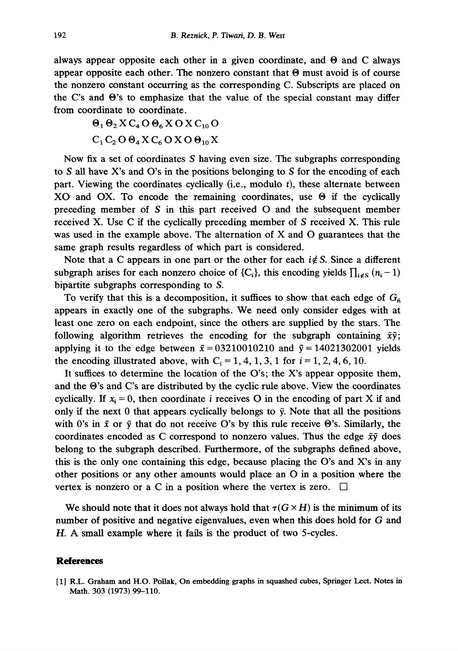always appear opposite each other in a given coordinate, and  $\Theta$  and C always appear opposite each other. The nonzero constant that  $\Theta$  must avoid is of course the nonzero constant occurring as the corresponding C. Subscripts are placed on the C's and  $\Theta$ 's to emphasize that the value of the special constant may differ from coordinate to coordinate.

$$
\Theta_1 \Theta_2 X C_4 O \Theta_6 X O X C_{10} O
$$
  

$$
C_1 C_2 O \Theta_4 X C_6 O X O \Theta_{10} X
$$

Now fix a set of coordinates S having even size. The subgraphs corresponding to S all have X's and O's in the positions belonging to S for the encoding of each part. Viewing the coordinates cyclically (i.e., modulo t), these alternate between XO and OX. To encode the remaining coordinates, use  $\Theta$  if the cyclically preceding member of S in this part received O and the subsequent member received X. Use C if the cyclically preceding member of S received X. This rule was used in the example above. The alternation of X and O guarantees that the same graph results regardless of which part is considered.

Note that a C appears in one part or the other for each  $i \notin S$ . Since a different subgraph arises for each nonzero choice of  $\{C_i\}$ , this encoding yields  $\prod_{i \neq S} (n_i - 1)$ bipartite subgraphs corresponding to S.

To verify that this is a decomposition, it suffices to show that each edge of  $G_{\overline{n}}$ appears in exactly one of the subgraphs. We need only consider edges with at least one zero on each endpoint, since the others are supplied by the stars. The following algorithm retrieves the encoding for the subgraph containing  $\bar{x}\bar{y}$ ; applying it to the edge between  $\bar{x} = 0.3210010210$  and  $\bar{y} = 14021302001$  yields the encoding illustrated above, with  $C_i = 1, 4, 1, 3, 1$  for  $i = 1, 2, 4, 6, 10$ .

It suffices to determine the location of the O's; the X's appear opposite them, and the  $\Theta$ 's and C's are distributed by the cyclic rule above. View the coordinates cyclically. If  $x_i = 0$ , then coordinate i receives O in the encoding of part X if and only if the next 0 that appears cyclically belongs to  $\bar{y}$ . Note that all the positions with 0's in  $\bar{x}$  or  $\bar{y}$  that do not receive O's by this rule receive  $\Theta$ 's. Similarly, the coordinates encoded as C correspond to nonzero values. Thus the edge  $\bar{x}\bar{y}$  does belong to the subgraph described. Furthermore, of the subgraphs defined above, this is the only one containing this edge, because placing the O's and X's in any other positions or any other amounts would place an O in a position where the vertex is nonzero or a C in a position where the vertex is zero.  $\Box$ 

We should note that it does not always hold that  $\tau(G \times H)$  is the minimum of its number of positive and negative eigenvalues, even when this does hold for G and H. A small example where it fails is the product of two 5-cycles.

### **References**

[1] R.L. Graham and H.O. Pollak, On embedding graphs in squashed cubes, Springer Lect. Notes in Math. 303 (1973) 99-110.